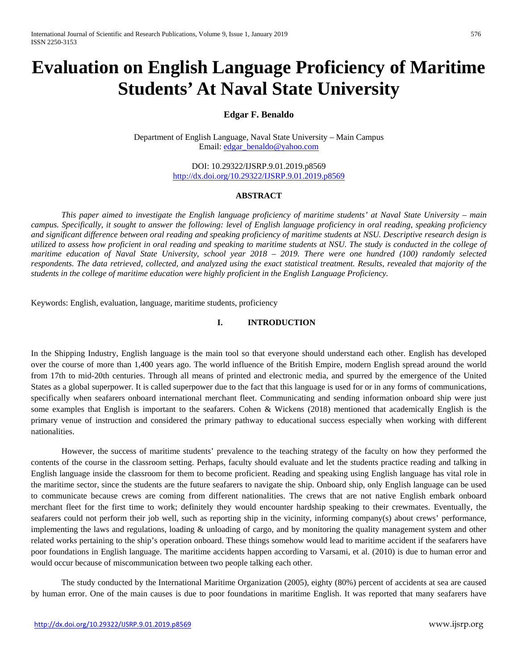# **Evaluation on English Language Proficiency of Maritime Students' At Naval State University**

# **Edgar F. Benaldo**

Department of English Language, Naval State University – Main Campus Email: [edgar\\_benaldo@yahoo.com](mailto:edgar_benaldo@yahoo.com)

> DOI: 10.29322/IJSRP.9.01.2019.p8569 <http://dx.doi.org/10.29322/IJSRP.9.01.2019.p8569>

# **ABSTRACT**

*This paper aimed to investigate the English language proficiency of maritime students' at Naval State University – main campus. Specifically, it sought to answer the following: level of English language proficiency in oral reading, speaking proficiency and significant difference between oral reading and speaking proficiency of maritime students at NSU. Descriptive research design is utilized to assess how proficient in oral reading and speaking to maritime students at NSU. The study is conducted in the college of maritime education of Naval State University, school year 2018 – 2019. There were one hundred (100) randomly selected respondents. The data retrieved, collected, and analyzed using the exact statistical treatment. Results, revealed that majority of the students in the college of maritime education were highly proficient in the English Language Proficiency.*

Keywords: English, evaluation, language, maritime students, proficiency

# **I. INTRODUCTION**

In the Shipping Industry, English language is the main tool so that everyone should understand each other. English has developed over the course of more than 1,400 years ago. The world influence of the British Empire, modern English spread around the world from 17th to mid-20th centuries. Through all means of printed and electronic media, and spurred by the emergence of the United States as a global superpower. It is called superpower due to the fact that this language is used for or in any forms of communications, specifically when seafarers onboard international merchant fleet. Communicating and sending information onboard ship were just some examples that English is important to the seafarers. Cohen & Wickens (2018) mentioned that academically English is the primary venue of instruction and considered the primary pathway to educational success especially when working with different nationalities.

However, the success of maritime students' prevalence to the teaching strategy of the faculty on how they performed the contents of the course in the classroom setting. Perhaps, faculty should evaluate and let the students practice reading and talking in English language inside the classroom for them to become proficient. Reading and speaking using English language has vital role in the maritime sector, since the students are the future seafarers to navigate the ship. Onboard ship, only English language can be used to communicate because crews are coming from different nationalities. The crews that are not native English embark onboard merchant fleet for the first time to work; definitely they would encounter hardship speaking to their crewmates. Eventually, the seafarers could not perform their job well, such as reporting ship in the vicinity, informing company(s) about crews' performance, implementing the laws and regulations, loading & unloading of cargo, and by monitoring the quality management system and other related works pertaining to the ship's operation onboard. These things somehow would lead to maritime accident if the seafarers have poor foundations in English language. The maritime accidents happen according to Varsami, et al. (2010) is due to human error and would occur because of miscommunication between two people talking each other.

The study conducted by the International Maritime Organization (2005), eighty (80%) percent of accidents at sea are caused by human error. One of the main causes is due to poor foundations in maritime English. It was reported that many seafarers have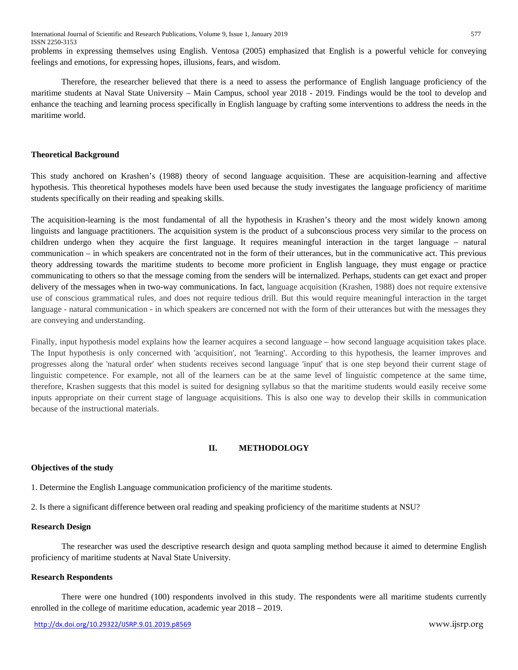problems in expressing themselves using English. Ventosa (2005) emphasized that English is a powerful vehicle for conveying feelings and emotions, for expressing hopes, illusions, fears, and wisdom.

Therefore, the researcher believed that there is a need to assess the performance of English language proficiency of the maritime students at Naval State University – Main Campus, school year 2018 - 2019. Findings would be the tool to develop and enhance the teaching and learning process specifically in English language by crafting some interventions to address the needs in the maritime world.

## **Theoretical Background**

This study anchored on Krashen's (1988) theory of second language acquisition. These are acquisition-learning and affective hypothesis. This theoretical hypotheses models have been used because the study investigates the language proficiency of maritime students specifically on their reading and speaking skills.

The acquisition-learning is the most fundamental of all the hypothesis in Krashen's theory and the most widely known among linguists and language practitioners. The acquisition system is the product of a subconscious process very similar to the process on children undergo when they acquire the first language. It requires meaningful interaction in the target language – natural communication – in which speakers are concentrated not in the form of their utterances, but in the communicative act. This previous theory addressing towards the maritime students to become more proficient in English language, they must engage or practice communicating to others so that the message coming from the senders will be internalized. Perhaps, students can get exact and proper delivery of the messages when in two-way communications. In fact, language acquisition (Krashen, 1988) does not require extensive use of conscious grammatical rules, and does not require tedious drill. But this would require meaningful interaction in the target language - natural communication - in which speakers are concerned not with the form of their utterances but with the messages they are conveying and understanding.

Finally, input hypothesis model explains how the learner acquires a second language – how second language acquisition takes place. The Input hypothesis is only concerned with 'acquisition', not 'learning'. According to this hypothesis, the learner improves and progresses along the 'natural order' when students receives second language 'input' that is one step beyond their current stage of linguistic competence. For example, not all of the learners can be at the same level of linguistic competence at the same time, therefore, Krashen suggests that this model is suited for designing syllabus so that the maritime students would easily receive some inputs appropriate on their current stage of language acquisitions. This is also one way to develop their skills in communication because of the instructional materials.

# **II. METHODOLOGY**

# **Objectives of the study**

1. Determine the English Language communication proficiency of the maritime students.

2. Is there a significant difference between oral reading and speaking proficiency of the maritime students at NSU?

# **Research Design**

The researcher was used the descriptive research design and quota sampling method because it aimed to determine English proficiency of maritime students at Naval State University.

# **Research Respondents**

There were one hundred (100) respondents involved in this study. The respondents were all maritime students currently enrolled in the college of maritime education, academic year 2018 – 2019.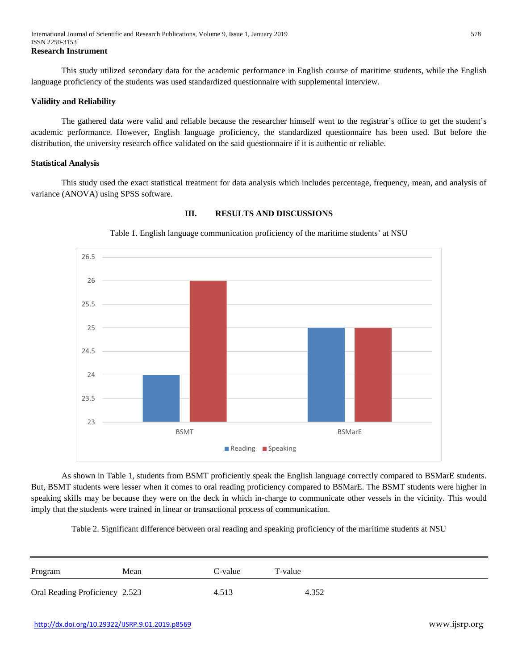This study utilized secondary data for the academic performance in English course of maritime students, while the English language proficiency of the students was used standardized questionnaire with supplemental interview.

### **Validity and Reliability**

The gathered data were valid and reliable because the researcher himself went to the registrar's office to get the student's academic performance. However, English language proficiency, the standardized questionnaire has been used. But before the distribution, the university research office validated on the said questionnaire if it is authentic or reliable.

#### **Statistical Analysis**

This study used the exact statistical treatment for data analysis which includes percentage, frequency, mean, and analysis of variance (ANOVA) using SPSS software.



Table 1. English language communication proficiency of the maritime students' at NSU

**III. RESULTS AND DISCUSSIONS**

As shown in Table 1, students from BSMT proficiently speak the English language correctly compared to BSMarE students. But, BSMT students were lesser when it comes to oral reading proficiency compared to BSMarE. The BSMT students were higher in speaking skills may be because they were on the deck in which in-charge to communicate other vessels in the vicinity. This would imply that the students were trained in linear or transactional process of communication.

Table 2. Significant difference between oral reading and speaking proficiency of the maritime students at NSU

| Program                        | Mean | C-value | T-value |
|--------------------------------|------|---------|---------|
| Oral Reading Proficiency 2.523 |      | 4.513   | 4.352   |